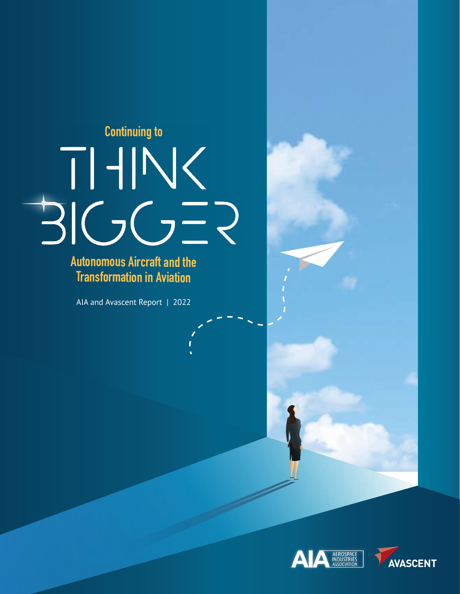

**Autonomous Aircraft and the Transformation in Aviation**

AIA and Avascent Report | 2022



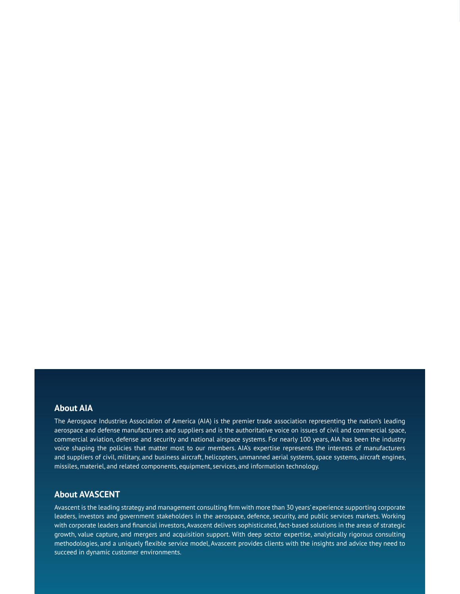#### **About AIA**

The Aerospace Industries Association of America (AIA) is the premier trade association representing the nation's leading aerospace and defense manufacturers and suppliers and is the authoritative voice on issues of civil and commercial space, commercial aviation, defense and security and national airspace systems. For nearly 100 years, AIA has been the industry voice shaping the policies that matter most to our members. AIA's expertise represents the interests of manufacturers and suppliers of civil, military, and business aircraft, helicopters, unmanned aerial systems, space systems, aircraft engines, missiles, materiel, and related components, equipment, services, and information technology.

#### **About AVASCENT**

Avascent is the leading strategy and management consulting firm with more than 30 years' experience supporting corporate leaders, investors and government stakeholders in the aerospace, defence, security, and public services markets. Working with corporate leaders and financial investors, Avascent delivers sophisticated, fact-based solutions in the areas of strategic growth, value capture, and mergers and acquisition support. With deep sector expertise, analytically rigorous consulting methodologies, and a uniquely flexible service model, Avascent provides clients with the insights and advice they need to succeed in dynamic customer environments.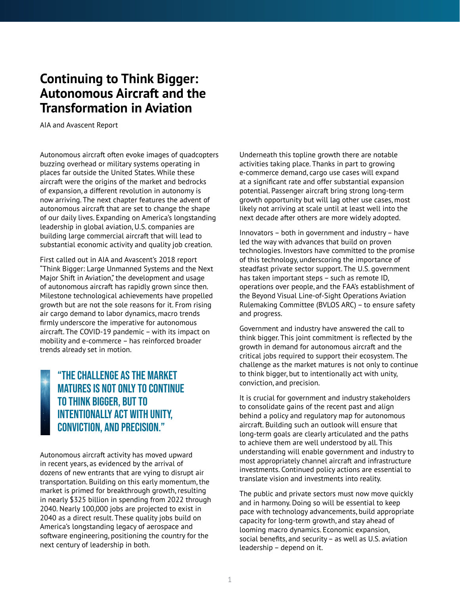# **Continuing to Think Bigger: Autonomous Aircraft and the Transformation in Aviation**

AIA and Avascent Report

Autonomous aircraft often evoke images of quadcopters buzzing overhead or military systems operating in places far outside the United States. While these aircraft were the origins of the market and bedrocks of expansion, a different revolution in autonomy is now arriving. The next chapter features the advent of autonomous aircraft that are set to change the shape of our daily lives. Expanding on America's longstanding leadership in global aviation, U.S. companies are building large commercial aircraft that will lead to substantial economic activity and quality job creation.

First called out in AIA and Avascent's 2018 report "Think Bigger: Large Unmanned Systems and the Next Major Shift in Aviation," the development and usage of autonomous aircraft has rapidly grown since then. Milestone technological achievements have propelled growth but are not the sole reasons for it. From rising air cargo demand to labor dynamics, macro trends firmly underscore the imperative for autonomous aircraft. The COVID-19 pandemic – with its impact on mobility and e-commerce – has reinforced broader trends already set in motion.

# "The challenge as the market matures is not only to continue to think bigger, but to intentionally act with unity, conviction, and precision."

Autonomous aircraft activity has moved upward in recent years, as evidenced by the arrival of dozens of new entrants that are vying to disrupt air transportation. Building on this early momentum, the market is primed for breakthrough growth, resulting in nearly \$325 billion in spending from 2022 through 2040. Nearly 100,000 jobs are projected to exist in 2040 as a direct result. These quality jobs build on America's longstanding legacy of aerospace and software engineering, positioning the country for the next century of leadership in both.

Underneath this topline growth there are notable activities taking place. Thanks in part to growing e-commerce demand, cargo use cases will expand at a significant rate and offer substantial expansion potential. Passenger aircraft bring strong long-term growth opportunity but will lag other use cases, most likely not arriving at scale until at least well into the next decade after others are more widely adopted.

Innovators – both in government and industry – have led the way with advances that build on proven technologies. Investors have committed to the promise of this technology, underscoring the importance of steadfast private sector support. The U.S. government has taken important steps – such as remote ID, operations over people, and the FAA's establishment of the Beyond Visual Line-of-Sight Operations Aviation Rulemaking Committee (BVLOS ARC) – to ensure safety and progress.

Government and industry have answered the call to think bigger. This joint commitment is reflected by the growth in demand for autonomous aircraft and the critical jobs required to support their ecosystem. The challenge as the market matures is not only to continue to think bigger, but to intentionally act with unity, conviction, and precision.

It is crucial for government and industry stakeholders to consolidate gains of the recent past and align behind a policy and regulatory map for autonomous aircraft. Building such an outlook will ensure that long-term goals are clearly articulated and the paths to achieve them are well understood by all. This understanding will enable government and industry to most appropriately channel aircraft and infrastructure investments. Continued policy actions are essential to translate vision and investments into reality.

The public and private sectors must now move quickly and in harmony. Doing so will be essential to keep pace with technology advancements, build appropriate capacity for long-term growth, and stay ahead of looming macro dynamics. Economic expansion, social benefits, and security – as well as U.S. aviation leadership – depend on it.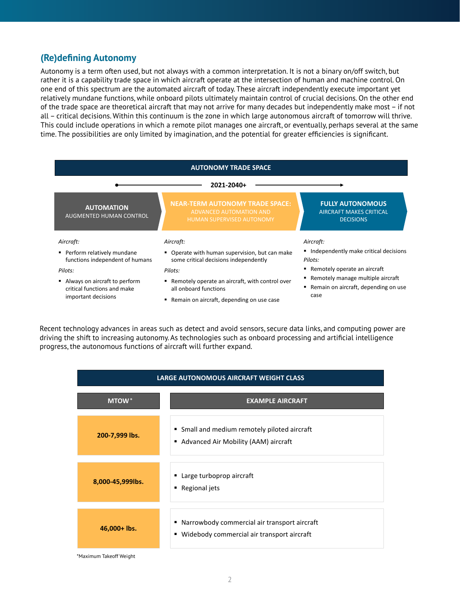#### **(Re)defining Autonomy**

Autonomy is a term often used, but not always with a common interpretation. It is not a binary on/off switch, but rather it is a capability trade space in which aircraft operate at the intersection of human and machine control. On one end of this spectrum are the automated aircraft of today. These aircraft independently execute important yet relatively mundane functions, while onboard pilots ultimately maintain control of crucial decisions. On the other end of the trade space are theoretical aircraft that may not arrive for many decades but independently make most – if not all – critical decisions. Within this continuum is the zone in which large autonomous aircraft of tomorrow will thrive. This could include operations in which a remote pilot manages one aircraft, or eventually, perhaps several at the same time. The possibilities are only limited by imagination, and the potential for greater efficiencies is significant.<br>**Figure 20** 

| <b>AUTONOMY TRADE SPACE</b>                                                         |                                                                                                       |                                                                               |  |
|-------------------------------------------------------------------------------------|-------------------------------------------------------------------------------------------------------|-------------------------------------------------------------------------------|--|
| 2021-2040+                                                                          |                                                                                                       |                                                                               |  |
| <b>AUTOMATION</b><br><b>AUGMENTED HUMAN CONTROL</b>                                 | <b>NEAR-TERM AUTONOMY TRADE SPACE:</b><br>ADVANCED AUTOMATION AND<br><b>HUMAN SUPERVISED AUTONOMY</b> | <b>FULLY AUTONOMOUS</b><br><b>AIRCRAFT MAKES CRITICAL</b><br><b>DECISIONS</b> |  |
| Aircraft:                                                                           | Aircraft:                                                                                             | Aircraft:                                                                     |  |
| Perform relatively mundane<br>functions independent of humans                       | " Operate with human supervision, but can make<br>some critical decisions independently               | Independently make critical decisions<br>Pilots:                              |  |
| Pilots:                                                                             | Pilots:                                                                                               | ■ Remotely operate an aircraft                                                |  |
| Always on aircraft to perform<br>critical functions and make<br>important decisions | Remotely operate an aircraft, with control over<br>all onboard functions                              | ■ Remotely manage multiple aircraft<br>Remain on aircraft, depending on use   |  |
|                                                                                     | ■ Remain on aircraft, depending on use case                                                           | case                                                                          |  |

Recent technology advances in areas such as detect and avoid sensors, secure data links, and computing power are driving the shift to increasing autonomy. As technologies such as onboard processing and artificial intelligence **Figure 1b: Definition of Autonomous Aircraft** progress, the autonomous functions of aircraft will further expand.

| LARGE AUTONOMOUS AIRCRAFT WEIGHT CLASS |                                                                                                |  |
|----------------------------------------|------------------------------------------------------------------------------------------------|--|
| <b>MTOW</b> *                          | <b>EXAMPLE AIRCRAFT</b>                                                                        |  |
| 200-7,999 lbs.                         | • Small and medium remotely piloted aircraft<br>Advanced Air Mobility (AAM) aircraft           |  |
| 8,000-45,999lbs.                       | ■ Large turboprop aircraft<br>■ Regional jets                                                  |  |
| 46,000+ lbs.                           | ■ Narrowbody commercial air transport aircraft<br>■ Widebody commercial air transport aircraft |  |

\*Maximum Takeoff Weight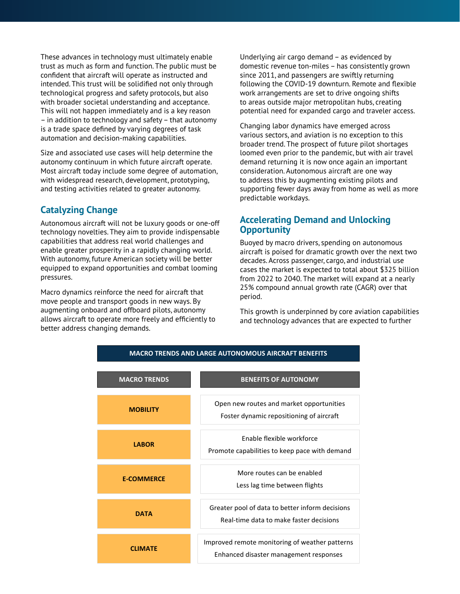These advances in technology must ultimately enable trust as much as form and function. The public must be confident that aircraft will operate as instructed and intended. This trust will be solidified not only through technological progress and safety protocols, but also with broader societal understanding and acceptance. This will not happen immediately and is a key reason – in addition to technology and safety – that autonomy is a trade space defined by varying degrees of task automation and decision-making capabilities.

Size and associated use cases will help determine the autonomy continuum in which future aircraft operate. Most aircraft today include some degree of automation, with widespread research, development, prototyping, and testing activities related to greater autonomy.

### **Catalyzing Change**

Autonomous aircraft will not be luxury goods or one-off technology novelties. They aim to provide indispensable capabilities that address real world challenges and enable greater prosperity in a rapidly changing world. With autonomy, future American society will be better equipped to expand opportunities and combat looming pressures.

attows afferate to operate more fre<del>d</del><br>better address changing demands. Macro dynamics reinforce the need for aircraft that move people and transport goods in new ways. By augmenting onboard and offboard pilots, autonomy allows aircraft to operate more freely and efficiently to

Underlying air cargo demand – as evidenced by domestic revenue ton-miles – has consistently grown since 2011, and passengers are swiftly returning following the COVID-19 downturn. Remote and flexible work arrangements are set to drive ongoing shifts to areas outside major metropolitan hubs, creating potential need for expanded cargo and traveler access.

Changing labor dynamics have emerged across various sectors, and aviation is no exception to this broader trend. The prospect of future pilot shortages loomed even prior to the pandemic, but with air travel demand returning it is now once again an important consideration. Autonomous aircraft are one way to address this by augmenting existing pilots and supporting fewer days away from home as well as more predictable workdays.

#### **Accelerating Demand and Unlocking Opportunity**

Buoyed by macro drivers, spending on autonomous aircraft is poised for dramatic growth over the next two decades. Across passenger, cargo, and industrial use cases the market is expected to total about \$325 billion from 2022 to 2040. The market will expand at a nearly 25% compound annual growth rate (CAGR) over that period.

This growth is underpinned by core aviation capabilities and technology advances that are expected to further

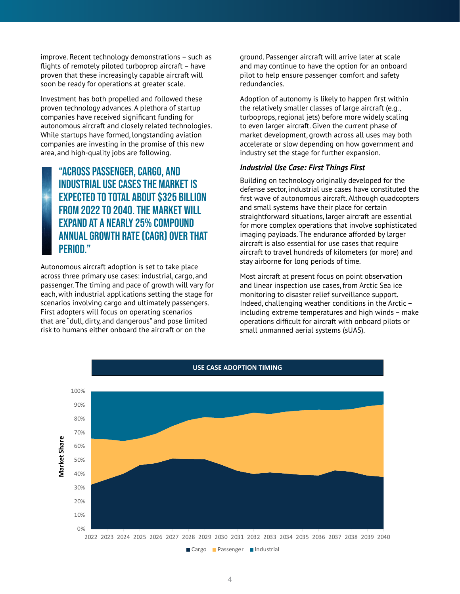improve. Recent technology demonstrations – such as flights of remotely piloted turboprop aircraft – have proven that these increasingly capable aircraft will soon be ready for operations at greater scale.

Investment has both propelled and followed these proven technology advances. A plethora of startup companies have received significant funding for autonomous aircraft and closely related technologies. While startups have formed, longstanding aviation companies are investing in the promise of this new area, and high-quality jobs are following.

## "Across passenger, cargo, and industrial use cases the market is expected to total about \$325 billion from 2022 to 2040. The market will expand at a nearly 25% compound annual growth rate (CAGR) over that period."

Autonomous aircraft adoption is set to take place across three primary use cases: industrial, cargo, and passenger. The timing and pace of growth will vary for each, with industrial applications setting the stage for scenarios involving cargo and ultimately passengers. First adopters will focus on operating scenarios that are "dull, dirty, and dangerous" and pose limited **Figure 3: Use Case, and J. Since Adoptive 2: Use Case Adoptive** Address Trisk to humans either onboard the aircraft or on the

ground. Passenger aircraft will arrive later at scale and may continue to have the option for an onboard pilot to help ensure passenger comfort and safety redundancies.

Adoption of autonomy is likely to happen first within the relatively smaller classes of large aircraft (e.g., turboprops, regional jets) before more widely scaling to even larger aircraft. Given the current phase of market development, growth across all uses may both accelerate or slow depending on how government and industry set the stage for further expansion.

#### *Industrial Use Case: First Things First*

Building on technology originally developed for the defense sector, industrial use cases have constituted the first wave of autonomous aircraft. Although quadcopters and small systems have their place for certain straightforward situations, larger aircraft are essential for more complex operations that involve sophisticated imaging payloads. The endurance afforded by larger aircraft is also essential for use cases that require aircraft to travel hundreds of kilometers (or more) and stay airborne for long periods of time.

Most aircraft at present focus on point observation and linear inspection use cases, from Arctic Sea ice monitoring to disaster relief surveillance support. Indeed, challenging weather conditions in the Arctic – including extreme temperatures and high winds – make operations difficult for aircraft with onboard pilots or small unmanned aerial systems (sUAS).

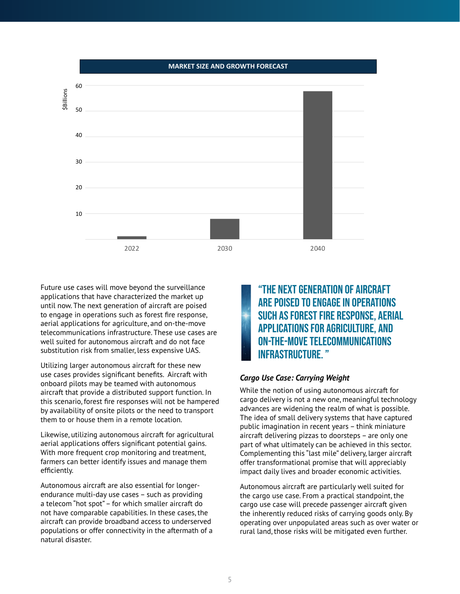

Future use cases will move beyond the surveillance applications that have characterized the market up until now. The next generation of aircraft are poised to engage in operations such as forest fire response, aerial applications for agriculture, and on-the-move telecommunications infrastructure. These use cases are well suited for autonomous aircraft and do not face substitution risk from smaller, less expensive UAS.

Utilizing larger autonomous aircraft for these new use cases provides significant benefits. Aircraft with onboard pilots may be teamed with autonomous aircraft that provide a distributed support function. In this scenario, forest fire responses will not be hampered by availability of onsite pilots or the need to transport them to or house them in a remote location.

Likewise, utilizing autonomous aircraft for agricultural aerial applications offers significant potential gains. With more frequent crop monitoring and treatment, farmers can better identify issues and manage them efficiently.

Autonomous aircraft are also essential for longerendurance multi-day use cases – such as providing a telecom "hot spot" – for which smaller aircraft do not have comparable capabilities. In these cases, the aircraft can provide broadband access to underserved populations or offer connectivity in the aftermath of a natural disaster.

"The next generation of aircraft **ARE POISED TO ENGAGE IN OPERATIONS** such as forest fire response, aerial applications for agriculture, and on-the-move telecommunications infrastructure. "

#### *Cargo Use Case: Carrying Weight*

While the notion of using autonomous aircraft for cargo delivery is not a new one, meaningful technology advances are widening the realm of what is possible. The idea of small delivery systems that have captured public imagination in recent years – think miniature aircraft delivering pizzas to doorsteps – are only one part of what ultimately can be achieved in this sector. Complementing this "last mile" delivery, larger aircraft offer transformational promise that will appreciably impact daily lives and broader economic activities.

Autonomous aircraft are particularly well suited for the cargo use case. From a practical standpoint, the cargo use case will precede passenger aircraft given the inherently reduced risks of carrying goods only. By operating over unpopulated areas such as over water or rural land, those risks will be mitigated even further.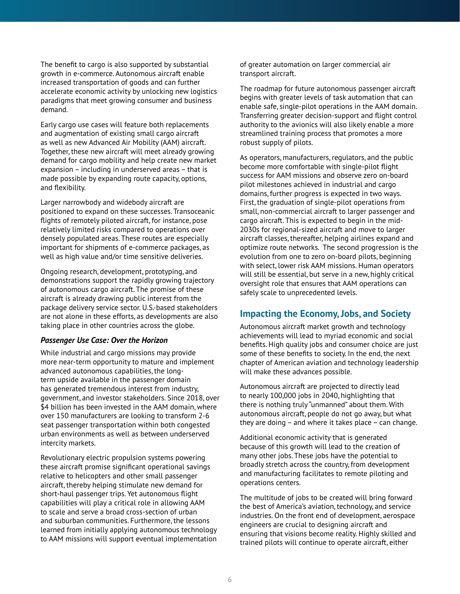The benefit to cargo is also supported by substantial growth in e-commerce. Autonomous aircraft enable increased transportation of goods and can further accelerate economic activity by unlocking new logistics paradigms that meet growing consumer and business demand.

Early cargo use cases will feature both replacements and augmentation of existing small cargo aircraft as well as new Advanced Air Mobility (AAM) aircraft. Together, these new aircraft will meet already growing demand for cargo mobility and help create new market expansion – including in underserved areas – that is made possible by expanding route capacity, options, and flexibility.

Larger narrowbody and widebody aircraft are positioned to expand on these successes. Transoceanic flights of remotely piloted aircraft, for instance, pose relatively limited risks compared to operations over densely populated areas. These routes are especially important for shipments of e-commerce packages, as well as high value and/or time sensitive deliveries.

Ongoing research, development, prototyping, and demonstrations support the rapidly growing trajectory of autonomous cargo aircraft. The promise of these aircraft is already drawing public interest from the package delivery service sector. U.S.-based stakeholders are not alone in these efforts, as developments are also taking place in other countries across the globe.

#### *Passenger Use Case: Over the Horizon*

While industrial and cargo missions may provide more near-term opportunity to mature and implement advanced autonomous capabilities, the longterm upside available in the passenger domain has generated tremendous interest from industry, government, and investor stakeholders. Since 2018, over \$4 billion has been invested in the AAM domain, where over 150 manufacturers are looking to transform 2-6 seat passenger transportation within both congested urban environments as well as between underserved intercity markets.

Revolutionary electric propulsion systems powering these aircraft promise significant operational savings relative to helicopters and other small passenger aircraft, thereby helping stimulate new demand for short-haul passenger trips. Yet autonomous flight capabilities will play a critical role in allowing AAM to scale and serve a broad cross-section of urban and suburban communities. Furthermore, the lessons learned from initially applying autonomous technology to AAM missions will support eventual implementation

of greater automation on larger commercial air transport aircraft.

The roadmap for future autonomous passenger aircraft begins with greater levels of task automation that can enable safe, single-pilot operations in the AAM domain. Transferring greater decision-support and flight control authority to the avionics will also likely enable a more streamlined training process that promotes a more robust supply of pilots.

As operators, manufacturers, regulators, and the public become more comfortable with single-pilot flight success for AAM missions and observe zero on-board pilot milestones achieved in industrial and cargo domains, further progress is expected in two ways. First, the graduation of single-pilot operations from small, non-commercial aircraft to larger passenger and cargo aircraft. This is expected to begin in the mid-2030s for regional-sized aircraft and move to larger aircraft classes, thereafter, helping airlines expand and optimize route networks. The second progression is the evolution from one to zero on-board pilots, beginning with select, lower risk AAM missions. Human operators will still be essential, but serve in a new, highly critical oversight role that ensures that AAM operations can safely scale to unprecedented levels.

#### **Impacting the Economy, Jobs, and Society**

Autonomous aircraft market growth and technology achievements will lead to myriad economic and social benefits. High quality jobs and consumer choice are just some of these benefits to society. In the end, the next chapter of American aviation and technology leadership will make these advances possible.

Autonomous aircraft are projected to directly lead to nearly 100,000 jobs in 2040, highlighting that there is nothing truly "unmanned" about them. With autonomous aircraft, people do not go away, but what they are doing – and where it takes place – can change.

Additional economic activity that is generated because of this growth will lead to the creation of many other jobs. These jobs have the potential to broadly stretch across the country, from development and manufacturing facilitates to remote piloting and operations centers.

The multitude of jobs to be created will bring forward the best of America's aviation, technology, and service industries. On the front end of development, aerospace engineers are crucial to designing aircraft and ensuring that visions become reality. Highly skilled and trained pilots will continue to operate aircraft, either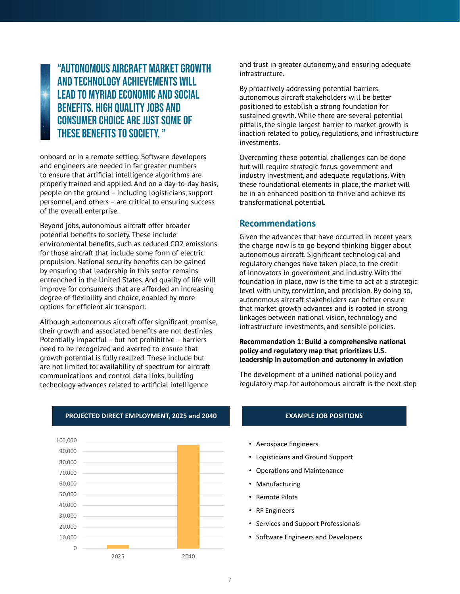"Autonomous aircraft market growth and technology achievements will lead to myriad economic and social benefits. High quality jobs and consumer choice are just some of these benefits to society. "

onboard or in a remote setting. Software developers and engineers are needed in far greater numbers to ensure that artificial intelligence algorithms are properly trained and applied. And on a day-to-day basis, people on the ground – including logisticians, support personnel, and others – are critical to ensuring success of the overall enterprise.

Beyond jobs, autonomous aircraft offer broader potential benefits to society. These include environmental benefits, such as reduced CO2 emissions for those aircraft that include some form of electric propulsion. National security benefits can be gained by ensuring that leadership in this sector remains entrenched in the United States. And quality of life will improve for consumers that are afforded an increasing degree of flexibility and choice, enabled by more options for efficient air transport.

Although autonomous aircraft offer significant promise, their growth and associated benefits are not destinies. Potentially impactful – but not prohibitive – barriers need to be recognized and averted to ensure that **Figure 5: Jobs Impact** growth potential is fully realized. These include but are not limited to: availability of spectrum for aircraft communications and control data links, building technology advances related to artificial intelligence

and trust in greater autonomy, and ensuring adequate infrastructure.

By proactively addressing potential barriers, autonomous aircraft stakeholders will be better positioned to establish a strong foundation for sustained growth. While there are several potential pitfalls, the single largest barrier to market growth is inaction related to policy, regulations, and infrastructure investments.

Overcoming these potential challenges can be done but will require strategic focus, government and industry investment, and adequate regulations. With these foundational elements in place, the market will be in an enhanced position to thrive and achieve its transformational potential.

#### **Recommendations**

Given the advances that have occurred in recent years the charge now is to go beyond thinking bigger about autonomous aircraft. Significant technological and regulatory changes have taken place, to the credit of innovators in government and industry. With the foundation in place, now is the time to act at a strategic level with unity, conviction, and precision. By doing so, autonomous aircraft stakeholders can better ensure that market growth advances and is rooted in strong linkages between national vision, technology and infrastructure investments, and sensible policies.

#### **Recommendation 1**: **Build a comprehensive national policy and regulatory map that prioritizes U.S. leadership in automation and autonomy in aviation**

The development of a unified national policy and regulatory map for autonomous aircraft is the next step



#### **PROJECTED DIRECT EMPLOYMENT, 2025 and 2040 EXAMPLE JOB POSITIONS**

- Aerospace Engineers
- Logisticians and Ground Support
- Operations and Maintenance
- Manufacturing
- Remote Pilots
- RF Engineers
- Services and Support Professionals
- Software Engineers and Developers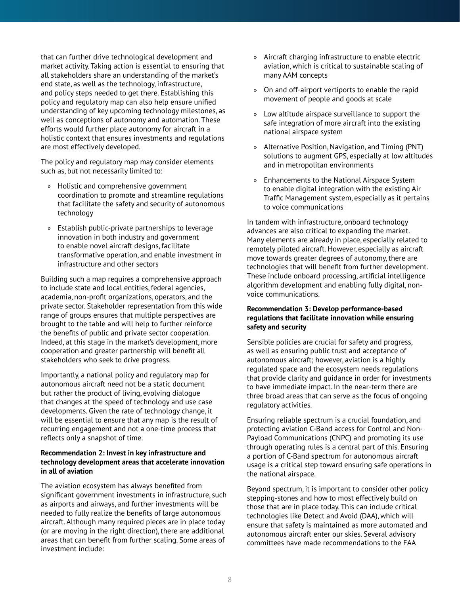that can further drive technological development and market activity. Taking action is essential to ensuring that all stakeholders share an understanding of the market's end state, as well as the technology, infrastructure, and policy steps needed to get there. Establishing this policy and regulatory map can also help ensure unified understanding of key upcoming technology milestones, as well as conceptions of autonomy and automation. These efforts would further place autonomy for aircraft in a holistic context that ensures investments and regulations are most effectively developed.

The policy and regulatory map may consider elements such as, but not necessarily limited to:

- » Holistic and comprehensive government coordination to promote and streamline regulations that facilitate the safety and security of autonomous technology
- » Establish public-private partnerships to leverage innovation in both industry and government to enable novel aircraft designs, facilitate transformative operation, and enable investment in infrastructure and other sectors

Building such a map requires a comprehensive approach to include state and local entities, federal agencies, academia, non-profit organizations, operators, and the private sector. Stakeholder representation from this wide range of groups ensures that multiple perspectives are brought to the table and will help to further reinforce the benefits of public and private sector cooperation. Indeed, at this stage in the market's development, more cooperation and greater partnership will benefit all stakeholders who seek to drive progress.

Importantly, a national policy and regulatory map for autonomous aircraft need not be a static document but rather the product of living, evolving dialogue that changes at the speed of technology and use case developments. Given the rate of technology change, it will be essential to ensure that any map is the result of recurring engagement and not a one-time process that reflects only a snapshot of time.

#### **Recommendation 2: Invest in key infrastructure and technology development areas that accelerate innovation in all of aviation**

The aviation ecosystem has always benefited from significant government investments in infrastructure, such as airports and airways, and further investments will be needed to fully realize the benefits of large autonomous aircraft. Although many required pieces are in place today (or are moving in the right direction), there are additional areas that can benefit from further scaling. Some areas of investment include:

- » Aircraft charging infrastructure to enable electric aviation, which is critical to sustainable scaling of many AAM concepts
- » On and off-airport vertiports to enable the rapid movement of people and goods at scale
- » Low altitude airspace surveillance to support the safe integration of more aircraft into the existing national airspace system
- » Alternative Position, Navigation, and Timing (PNT) solutions to augment GPS, especially at low altitudes and in metropolitan environments
- » Enhancements to the National Airspace System to enable digital integration with the existing Air Traffic Management system, especially as it pertains to voice communications

In tandem with infrastructure, onboard technology advances are also critical to expanding the market. Many elements are already in place, especially related to remotely piloted aircraft. However, especially as aircraft move towards greater degrees of autonomy, there are technologies that will benefit from further development. These include onboard processing, artificial intelligence algorithm development and enabling fully digital, nonvoice communications.

#### **Recommendation 3: Develop performance-based regulations that facilitate innovation while ensuring safety and security**

Sensible policies are crucial for safety and progress, as well as ensuring public trust and acceptance of autonomous aircraft; however, aviation is a highly regulated space and the ecosystem needs regulations that provide clarity and guidance in order for investments to have immediate impact. In the near-term there are three broad areas that can serve as the focus of ongoing regulatory activities.

Ensuring reliable spectrum is a crucial foundation, and protecting aviation C-Band access for Control and Non-Payload Communications (CNPC) and promoting its use through operating rules is a central part of this. Ensuring a portion of C-Band spectrum for autonomous aircraft usage is a critical step toward ensuring safe operations in the national airspace.

Beyond spectrum, it is important to consider other policy stepping-stones and how to most effectively build on those that are in place today. This can include critical technologies like Detect and Avoid (DAA), which will ensure that safety is maintained as more automated and autonomous aircraft enter our skies. Several advisory committees have made recommendations to the FAA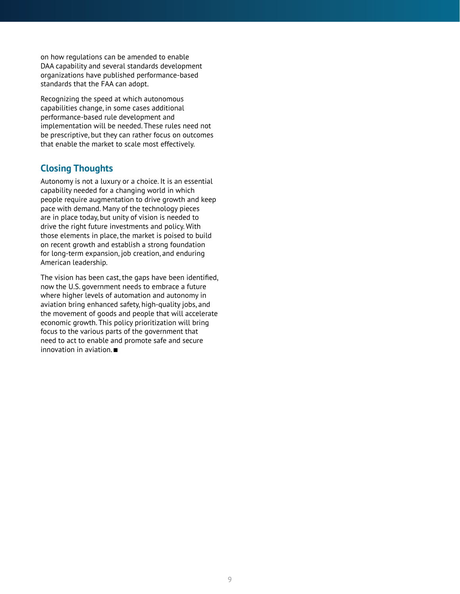on how regulations can be amended to enable DAA capability and several standards development organizations have published performance-based standards that the FAA can adopt.

Recognizing the speed at which autonomous capabilities change, in some cases additional performance-based rule development and implementation will be needed. These rules need not be prescriptive, but they can rather focus on outcomes that enable the market to scale most effectively.

#### **Closing Thoughts**

Autonomy is not a luxury or a choice. It is an essential capability needed for a changing world in which people require augmentation to drive growth and keep pace with demand. Many of the technology pieces are in place today, but unity of vision is needed to drive the right future investments and policy. With those elements in place, the market is poised to build on recent growth and establish a strong foundation for long-term expansion, job creation, and enduring American leadership.

The vision has been cast, the gaps have been identified, now the U.S. government needs to embrace a future where higher levels of automation and autonomy in aviation bring enhanced safety, high-quality jobs, and the movement of goods and people that will accelerate economic growth. This policy prioritization will bring focus to the various parts of the government that need to act to enable and promote safe and secure innovation in aviation.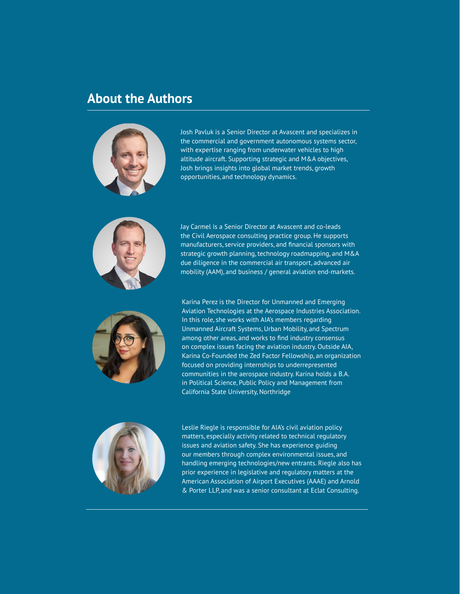# **About the Authors**



Josh Pavluk is a Senior Director at Avascent and specializes in the commercial and government autonomous systems sector, with expertise ranging from underwater vehicles to high altitude aircraft. Supporting strategic and M&A objectives, Josh brings insights into global market trends, growth opportunities, and technology dynamics.



Jay Carmel is a Senior Director at Avascent and co-leads the Civil Aerospace consulting practice group. He supports manufacturers, service providers, and financial sponsors with strategic growth planning, technology roadmapping, and M&A due diligence in the commercial air transport, advanced air mobility (AAM), and business / general aviation end-markets.



Karina Perez is the Director for Unmanned and Emerging Aviation Technologies at the Aerospace Industries Association. In this role, she works with AIA's members regarding Unmanned Aircraft Systems, Urban Mobility, and Spectrum among other areas, and works to find industry consensus on complex issues facing the aviation industry. Outside AIA, Karina Co-Founded the Zed Factor Fellowship, an organization focused on providing internships to underrepresented communities in the aerospace industry. Karina holds a B.A. in Political Science, Public Policy and Management from California State University, Northridge



Leslie Riegle is responsible for AIA's civil aviation policy matters, especially activity related to technical regulatory issues and aviation safety. She has experience guiding our members through complex environmental issues, and handling emerging technologies/new entrants. Riegle also has prior experience in legislative and regulatory matters at the American Association of Airport Executives (AAAE) and Arnold & Porter LLP, and was a senior consultant at Eclat Consulting.